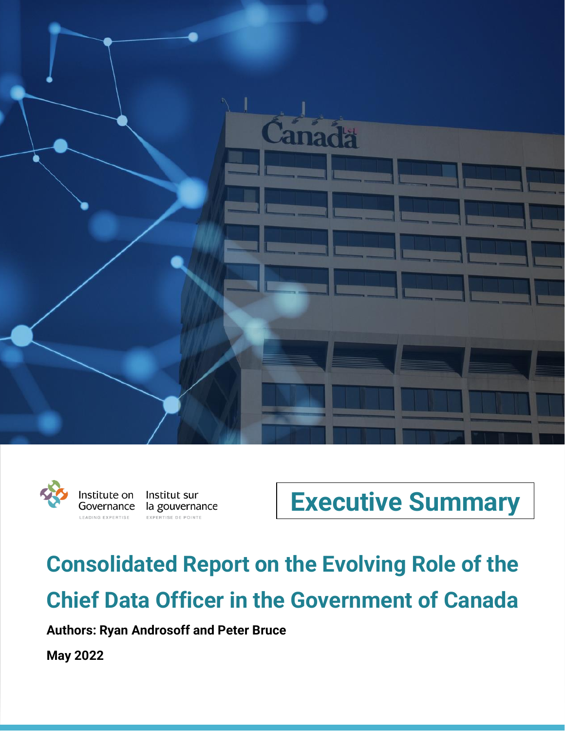





# **Consolidated Report on the Evolving Role of the Chief Data Officer in the Government of Canada**

**Authors: Ryan Androsoff and Peter Bruce**

**May 2022**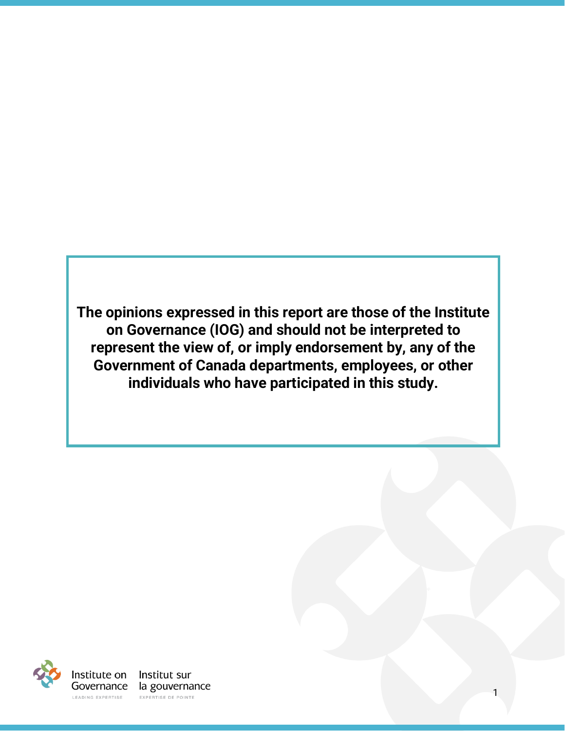**The opinions expressed in this report are those of the Institute on Governance (IOG) and should not be interpreted to represent the view of, or imply endorsement by, any of the Government of Canada departments, employees, or other individuals who have participated in this study.**

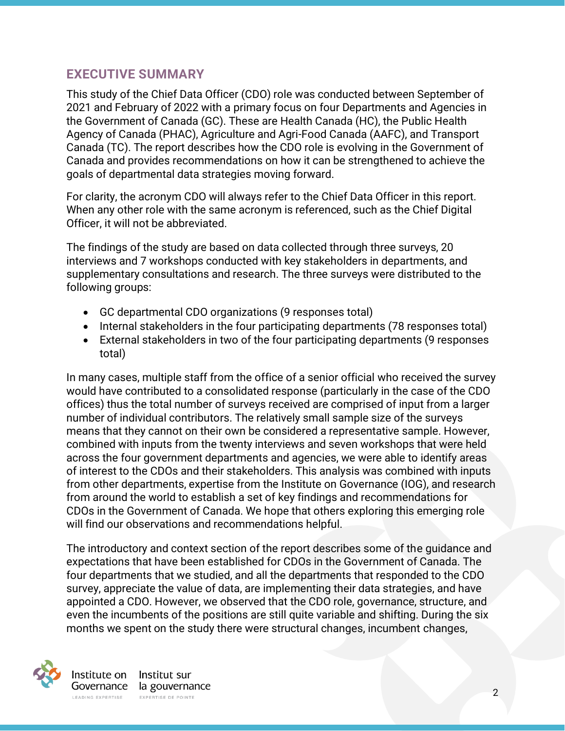#### **EXECUTIVE SUMMARY**

This study of the Chief Data Officer (CDO) role was conducted between September of 2021 and February of 2022 with a primary focus on four Departments and Agencies in the Government of Canada (GC). These are Health Canada (HC), the Public Health Agency of Canada (PHAC), Agriculture and Agri-Food Canada (AAFC), and Transport Canada (TC). The report describes how the CDO role is evolving in the Government of Canada and provides recommendations on how it can be strengthened to achieve the goals of departmental data strategies moving forward.

For clarity, the acronym CDO will always refer to the Chief Data Officer in this report. When any other role with the same acronym is referenced, such as the Chief Digital Officer, it will not be abbreviated.

The findings of the study are based on data collected through three surveys, 20 interviews and 7 workshops conducted with key stakeholders in departments, and supplementary consultations and research. The three surveys were distributed to the following groups:

- GC departmental CDO organizations (9 responses total)
- Internal stakeholders in the four participating departments (78 responses total)
- External stakeholders in two of the four participating departments (9 responses total)

In many cases, multiple staff from the office of a senior official who received the survey would have contributed to a consolidated response (particularly in the case of the CDO offices) thus the total number of surveys received are comprised of input from a larger number of individual contributors. The relatively small sample size of the surveys means that they cannot on their own be considered a representative sample. However, combined with inputs from the twenty interviews and seven workshops that were held across the four government departments and agencies, we were able to identify areas of interest to the CDOs and their stakeholders. This analysis was combined with inputs from other departments, expertise from the Institute on Governance (IOG), and research from around the world to establish a set of key findings and recommendations for CDOs in the Government of Canada. We hope that others exploring this emerging role will find our observations and recommendations helpful.

The introductory and context section of the report describes some of the guidance and expectations that have been established for CDOs in the Government of Canada. The four departments that we studied, and all the departments that responded to the CDO survey, appreciate the value of data, are implementing their data strategies, and have appointed a CDO. However, we observed that the CDO role, governance, structure, and even the incumbents of the positions are still quite variable and shifting. During the six months we spent on the study there were structural changes, incumbent changes,



EXPERTISE DE POINTE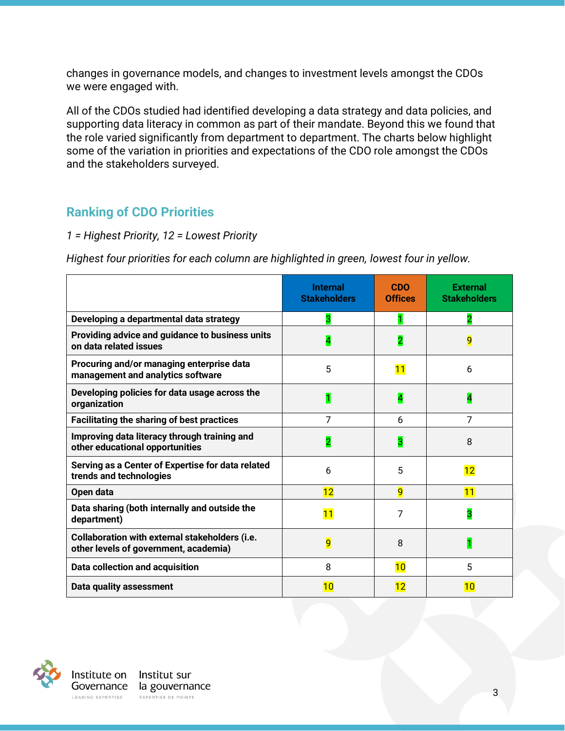changes in governance models, and changes to investment levels amongst the CDOs we were engaged with.

All of the CDOs studied had identified developing a data strategy and data policies, and supporting data literacy in common as part of their mandate. Beyond this we found that the role varied significantly from department to department. The charts below highlight some of the variation in priorities and expectations of the CDO role amongst the CDOs and the stakeholders surveyed.

## **Ranking of CDO Priorities**

#### *1 = Highest Priority, 12 = Lowest Priority*

*Highest four priorities for each column are highlighted in green, lowest four in yellow.*

|                                                                                         | <b>Internal</b><br><b>Stakeholders</b> | <b>CDO</b><br><b>Offices</b> | <b>External</b><br><b>Stakeholders</b> |
|-----------------------------------------------------------------------------------------|----------------------------------------|------------------------------|----------------------------------------|
| Developing a departmental data strategy                                                 | 3                                      |                              | $\overline{2}$                         |
| Providing advice and guidance to business units<br>on data related issues               | 4                                      | 2                            | 9                                      |
| Procuring and/or managing enterprise data<br>management and analytics software          | 5                                      | 11                           | 6                                      |
| Developing policies for data usage across the<br>organization                           | 1                                      | 4                            | 4                                      |
| <b>Facilitating the sharing of best practices</b>                                       | 7                                      | 6                            | 7                                      |
| Improving data literacy through training and<br>other educational opportunities         | 2                                      | 3                            | 8                                      |
| Serving as a Center of Expertise for data related<br>trends and technologies            | 6                                      | 5                            | 12                                     |
| Open data                                                                               | 12                                     | 9                            | 11                                     |
| Data sharing (both internally and outside the<br>department)                            | 11                                     | 7                            | 3                                      |
| Collaboration with external stakeholders (i.e.<br>other levels of government, academia) | 9                                      | 8                            | 1                                      |
| Data collection and acquisition                                                         | 8                                      | 10                           | 5                                      |
| <b>Data quality assessment</b>                                                          | 10                                     | 12                           | 10                                     |

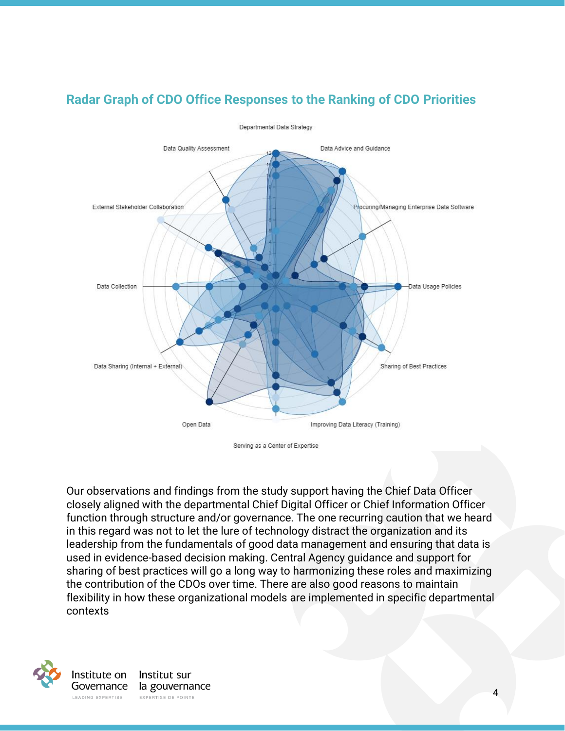

### **Radar Graph of CDO Office Responses to the Ranking of CDO Priorities**

Serving as a Center of Expertise

Our observations and findings from the study support having the Chief Data Officer closely aligned with the departmental Chief Digital Officer or Chief Information Officer function through structure and/or governance. The one recurring caution that we heard in this regard was not to let the lure of technology distract the organization and its leadership from the fundamentals of good data management and ensuring that data is used in evidence-based decision making. Central Agency guidance and support for sharing of best practices will go a long way to harmonizing these roles and maximizing the contribution of the CDOs over time. There are also good reasons to maintain flexibility in how these organizational models are implemented in specific departmental contexts

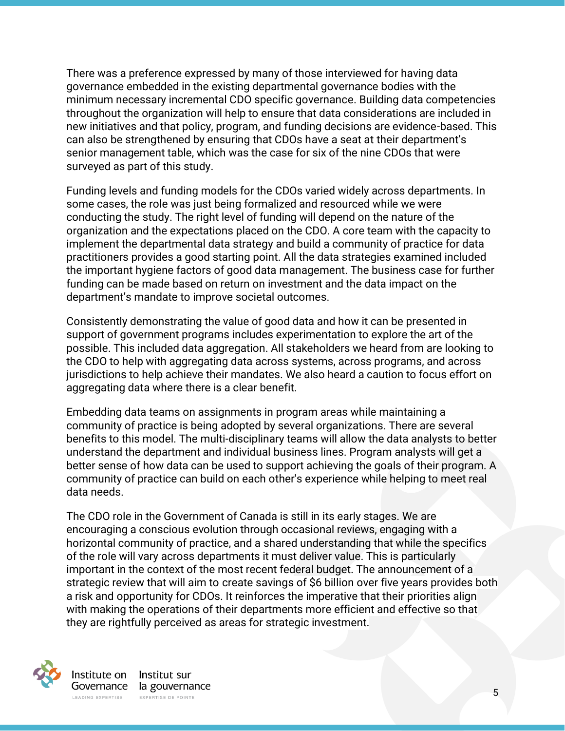There was a preference expressed by many of those interviewed for having data governance embedded in the existing departmental governance bodies with the minimum necessary incremental CDO specific governance. Building data competencies throughout the organization will help to ensure that data considerations are included in new initiatives and that policy, program, and funding decisions are evidence-based. This can also be strengthened by ensuring that CDOs have a seat at their department's senior management table, which was the case for six of the nine CDOs that were surveyed as part of this study.

Funding levels and funding models for the CDOs varied widely across departments. In some cases, the role was just being formalized and resourced while we were conducting the study. The right level of funding will depend on the nature of the organization and the expectations placed on the CDO. A core team with the capacity to implement the departmental data strategy and build a community of practice for data practitioners provides a good starting point. All the data strategies examined included the important hygiene factors of good data management. The business case for further funding can be made based on return on investment and the data impact on the department's mandate to improve societal outcomes.

Consistently demonstrating the value of good data and how it can be presented in support of government programs includes experimentation to explore the art of the possible. This included data aggregation. All stakeholders we heard from are looking to the CDO to help with aggregating data across systems, across programs, and across jurisdictions to help achieve their mandates. We also heard a caution to focus effort on aggregating data where there is a clear benefit.

Embedding data teams on assignments in program areas while maintaining a community of practice is being adopted by several organizations. There are several benefits to this model. The multi-disciplinary teams will allow the data analysts to better understand the department and individual business lines. Program analysts will get a better sense of how data can be used to support achieving the goals of their program. A community of practice can build on each other's experience while helping to meet real data needs.

The CDO role in the Government of Canada is still in its early stages. We are encouraging a conscious evolution through occasional reviews, engaging with a horizontal community of practice, and a shared understanding that while the specifics of the role will vary across departments it must deliver value. This is particularly important in the context of the most recent federal budget. The announcement of a strategic review that will aim to create savings of \$6 billion over five years provides both a risk and opportunity for CDOs. It reinforces the imperative that their priorities align with making the operations of their departments more efficient and effective so that they are rightfully perceived as areas for strategic investment.



EXPERTISE DE POINTE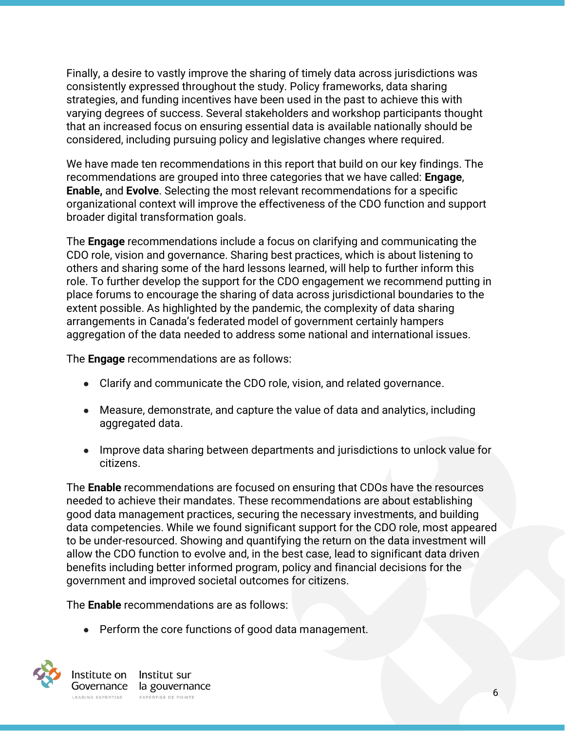Finally, a desire to vastly improve the sharing of timely data across jurisdictions was consistently expressed throughout the study. Policy frameworks, data sharing strategies, and funding incentives have been used in the past to achieve this with varying degrees of success. Several stakeholders and workshop participants thought that an increased focus on ensuring essential data is available nationally should be considered, including pursuing policy and legislative changes where required.

We have made ten recommendations in this report that build on our key findings. The recommendations are grouped into three categories that we have called: **Engage**, **Enable,** and **Evolve**. Selecting the most relevant recommendations for a specific organizational context will improve the effectiveness of the CDO function and support broader digital transformation goals.

The **Engage** recommendations include a focus on clarifying and communicating the CDO role, vision and governance. Sharing best practices, which is about listening to others and sharing some of the hard lessons learned, will help to further inform this role. To further develop the support for the CDO engagement we recommend putting in place forums to encourage the sharing of data across jurisdictional boundaries to the extent possible. As highlighted by the pandemic, the complexity of data sharing arrangements in Canada's federated model of government certainly hampers aggregation of the data needed to address some national and international issues.

The **Engage** recommendations are as follows:

- Clarify and communicate the CDO role, vision, and related governance.
- Measure, demonstrate, and capture the value of data and analytics, including aggregated data.
- Improve data sharing between departments and jurisdictions to unlock value for citizens.

The **Enable** recommendations are focused on ensuring that CDOs have the resources needed to achieve their mandates. These recommendations are about establishing good data management practices, securing the necessary investments, and building data competencies. While we found significant support for the CDO role, most appeared to be under-resourced. Showing and quantifying the return on the data investment will allow the CDO function to evolve and, in the best case, lead to significant data driven benefits including better informed program, policy and financial decisions for the government and improved societal outcomes for citizens.

The **Enable** recommendations are as follows:

● Perform the core functions of good data management.